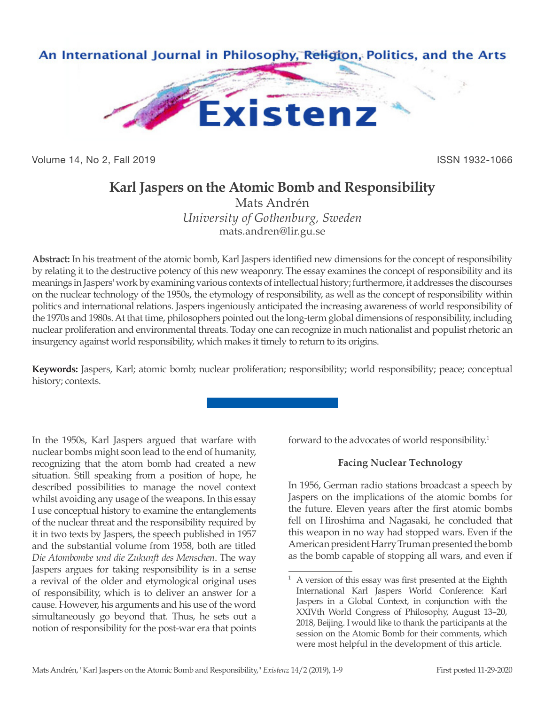

Volume 14, No 2, Fall 2019 ISSN 1932-1066

# **Karl Jaspers on the Atomic Bomb and Responsibility**

Mats Andrén *University of Gothenburg, Sweden* mats.andren@lir.gu.se

**Abstract:** In his treatment of the atomic bomb, Karl Jaspers identified new dimensions for the concept of responsibility by relating it to the destructive potency of this new weaponry. The essay examines the concept of responsibility and its meanings in Jaspers' work by examining various contexts of intellectual history; furthermore, it addresses the discourses on the nuclear technology of the 1950s, the etymology of responsibility, as well as the concept of responsibility within politics and international relations. Jaspers ingeniously anticipated the increasing awareness of world responsibility of the 1970s and 1980s. At that time, philosophers pointed out the long-term global dimensions of responsibility, including nuclear proliferation and environmental threats. Today one can recognize in much nationalist and populist rhetoric an insurgency against world responsibility, which makes it timely to return to its origins.

**Keywords:** Jaspers, Karl; atomic bomb; nuclear proliferation; responsibility; world responsibility; peace; conceptual history; contexts.

In the 1950s, Karl Jaspers argued that warfare with nuclear bombs might soon lead to the end of humanity, recognizing that the atom bomb had created a new situation. Still speaking from a position of hope, he described possibilities to manage the novel context whilst avoiding any usage of the weapons. In this essay I use conceptual history to examine the entanglements of the nuclear threat and the responsibility required by it in two texts by Jaspers, the speech published in 1957 and the substantial volume from 1958, both are titled *Die Atombombe und die Zukunft des Menschen*. The way Jaspers argues for taking responsibility is in a sense a revival of the older and etymological original uses of responsibility, which is to deliver an answer for a cause. However, his arguments and his use of the word simultaneously go beyond that. Thus, he sets out a notion of responsibility for the post-war era that points

forward to the advocates of world responsibility.<sup>1</sup>

## **Facing Nuclear Technology**

In 1956, German radio stations broadcast a speech by Jaspers on the implications of the atomic bombs for the future. Eleven years after the first atomic bombs fell on Hiroshima and Nagasaki, he concluded that this weapon in no way had stopped wars. Even if the American president Harry Truman presented the bomb as the bomb capable of stopping all wars, and even if

 $1$  A version of this essay was first presented at the Eighth International Karl Jaspers World Conference: Karl Jaspers in a Global Context, in conjunction with the XXIVth World Congress of Philosophy, August 13–20, 2018, Beijing. I would like to thank the participants at the session on the Atomic Bomb for their comments, which were most helpful in the development of this article.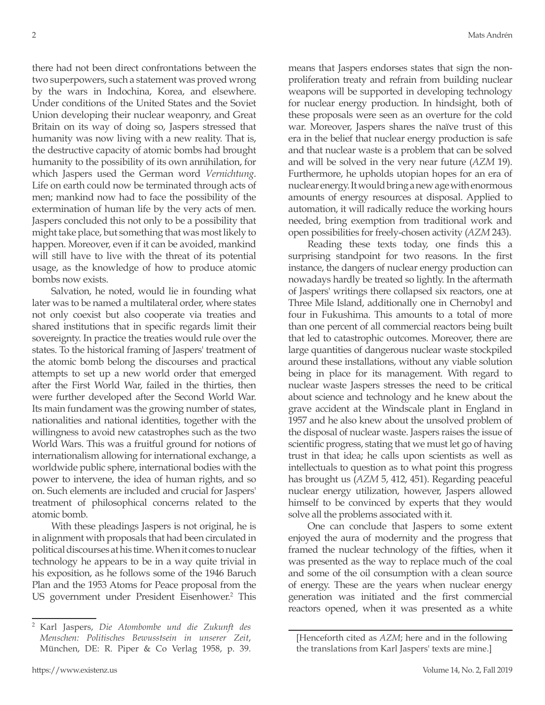there had not been direct confrontations between the two superpowers, such a statement was proved wrong by the wars in Indochina, Korea, and elsewhere. Under conditions of the United States and the Soviet Union developing their nuclear weaponry, and Great Britain on its way of doing so, Jaspers stressed that humanity was now living with a new reality. That is, the destructive capacity of atomic bombs had brought humanity to the possibility of its own annihilation, for which Jaspers used the German word *Vernichtung*. Life on earth could now be terminated through acts of men; mankind now had to face the possibility of the extermination of human life by the very acts of men. Jaspers concluded this not only to be a possibility that might take place, but something that was most likely to happen. Moreover, even if it can be avoided, mankind will still have to live with the threat of its potential usage, as the knowledge of how to produce atomic bombs now exists.

Salvation, he noted, would lie in founding what later was to be named a multilateral order, where states not only coexist but also cooperate via treaties and shared institutions that in specific regards limit their sovereignty. In practice the treaties would rule over the states. To the historical framing of Jaspers' treatment of the atomic bomb belong the discourses and practical attempts to set up a new world order that emerged after the First World War, failed in the thirties, then were further developed after the Second World War. Its main fundament was the growing number of states, nationalities and national identities, together with the willingness to avoid new catastrophes such as the two World Wars. This was a fruitful ground for notions of internationalism allowing for international exchange, a worldwide public sphere, international bodies with the power to intervene, the idea of human rights, and so on. Such elements are included and crucial for Jaspers' treatment of philosophical concerns related to the atomic bomb.

With these pleadings Jaspers is not original, he is in alignment with proposals that had been circulated in political discourses at his time. When it comes to nuclear technology he appears to be in a way quite trivial in his exposition, as he follows some of the 1946 Baruch Plan and the 1953 Atoms for Peace proposal from the US government under President Eisenhower.<sup>2</sup> This means that Jaspers endorses states that sign the nonproliferation treaty and refrain from building nuclear weapons will be supported in developing technology for nuclear energy production. In hindsight, both of these proposals were seen as an overture for the cold war. Moreover, Jaspers shares the naïve trust of this era in the belief that nuclear energy production is safe and that nuclear waste is a problem that can be solved and will be solved in the very near future (*AZM* 19). Furthermore, he upholds utopian hopes for an era of nuclear energy. It would bring a new age with enormous amounts of energy resources at disposal. Applied to automation, it will radically reduce the working hours needed, bring exemption from traditional work and open possibilities for freely-chosen activity (*AZM* 243).

Reading these texts today, one finds this a surprising standpoint for two reasons. In the first instance, the dangers of nuclear energy production can nowadays hardly be treated so lightly. In the aftermath of Jaspers' writings there collapsed six reactors, one at Three Mile Island, additionally one in Chernobyl and four in Fukushima. This amounts to a total of more than one percent of all commercial reactors being built that led to catastrophic outcomes. Moreover, there are large quantities of dangerous nuclear waste stockpiled around these installations, without any viable solution being in place for its management. With regard to nuclear waste Jaspers stresses the need to be critical about science and technology and he knew about the grave accident at the Windscale plant in England in 1957 and he also knew about the unsolved problem of the disposal of nuclear waste. Jaspers raises the issue of scientific progress, stating that we must let go of having trust in that idea; he calls upon scientists as well as intellectuals to question as to what point this progress has brought us (*AZM* 5, 412, 451). Regarding peaceful nuclear energy utilization, however, Jaspers allowed himself to be convinced by experts that they would solve all the problems associated with it.

One can conclude that Jaspers to some extent enjoyed the aura of modernity and the progress that framed the nuclear technology of the fifties, when it was presented as the way to replace much of the coal and some of the oil consumption with a clean source of energy. These are the years when nuclear energy generation was initiated and the first commercial reactors opened, when it was presented as a white

<sup>2</sup> Karl Jaspers, *Die Atombombe und die Zukunft des Menschen: Politisches Bewusstsein in unserer Zeit*, München, DE: R. Piper & Co Verlag 1958, p. 39.

<sup>[</sup>Henceforth cited as *AZM*; here and in the following the translations from Karl Jaspers' texts are mine.]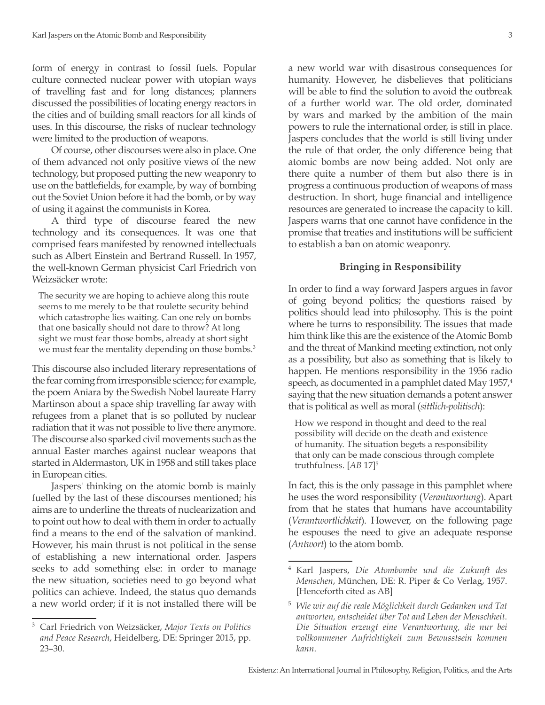form of energy in contrast to fossil fuels. Popular culture connected nuclear power with utopian ways of travelling fast and for long distances; planners discussed the possibilities of locating energy reactors in the cities and of building small reactors for all kinds of uses. In this discourse, the risks of nuclear technology were limited to the production of weapons.

Of course, other discourses were also in place. One of them advanced not only positive views of the new technology, but proposed putting the new weaponry to use on the battlefields, for example, by way of bombing out the Soviet Union before it had the bomb, or by way of using it against the communists in Korea.

A third type of discourse feared the new technology and its consequences. It was one that comprised fears manifested by renowned intellectuals such as Albert Einstein and Bertrand Russell. In 1957, the well-known German physicist Carl Friedrich von Weizsäcker wrote:

The security we are hoping to achieve along this route seems to me merely to be that roulette security behind which catastrophe lies waiting. Can one rely on bombs that one basically should not dare to throw? At long sight we must fear those bombs, already at short sight we must fear the mentality depending on those bombs.<sup>3</sup>

This discourse also included literary representations of the fear coming from irresponsible science; for example, the poem Aniara by the Swedish Nobel laureate Harry Martinson about a space ship travelling far away with refugees from a planet that is so polluted by nuclear radiation that it was not possible to live there anymore. The discourse also sparked civil movements such as the annual Easter marches against nuclear weapons that started in Aldermaston, UK in 1958 and still takes place in European cities.

Jaspers' thinking on the atomic bomb is mainly fuelled by the last of these discourses mentioned; his aims are to underline the threats of nuclearization and to point out how to deal with them in order to actually find a means to the end of the salvation of mankind. However, his main thrust is not political in the sense of establishing a new international order. Jaspers seeks to add something else: in order to manage the new situation, societies need to go beyond what politics can achieve. Indeed, the status quo demands a new world order; if it is not installed there will be a new world war with disastrous consequences for humanity. However, he disbelieves that politicians will be able to find the solution to avoid the outbreak of a further world war. The old order, dominated by wars and marked by the ambition of the main powers to rule the international order, is still in place. Jaspers concludes that the world is still living under the rule of that order, the only difference being that atomic bombs are now being added. Not only are there quite a number of them but also there is in progress a continuous production of weapons of mass destruction. In short, huge financial and intelligence resources are generated to increase the capacity to kill. Jaspers warns that one cannot have confidence in the promise that treaties and institutions will be sufficient to establish a ban on atomic weaponry.

## **Bringing in Responsibility**

In order to find a way forward Jaspers argues in favor of going beyond politics; the questions raised by politics should lead into philosophy. This is the point where he turns to responsibility. The issues that made him think like this are the existence of the Atomic Bomb and the threat of Mankind meeting extinction, not only as a possibility, but also as something that is likely to happen. He mentions responsibility in the 1956 radio speech, as documented in a pamphlet dated May 1957,<sup>4</sup> saying that the new situation demands a potent answer that is political as well as moral (*sittlich-politisch*):

How we respond in thought and deed to the real possibility will decide on the death and existence of humanity. The situation begets a responsibility that only can be made conscious through complete truthfulness. [*AB* 17]5

In fact, this is the only passage in this pamphlet where he uses the word responsibility (*Verantwortung*). Apart from that he states that humans have accountability (*Verantwortlichkeit*). However, on the following page he espouses the need to give an adequate response (*Antwort*) to the atom bomb.

<sup>3</sup> Carl Friedrich von Weizsäcker, *Major Texts on Politics and Peace Research*, Heidelberg, DE: Springer 2015, pp. 23–30.

<sup>4</sup> Karl Jaspers, *Die Atombombe und die Zukunft des Menschen*, München, DE: R. Piper & Co Verlag, 1957. [Henceforth cited as AB]

<sup>5</sup> *Wie wir auf die reale Möglichkeit durch Gedanken und Tat antworten, entscheidet über Tot and Leben der Menschheit. Die Situation erzeugt eine Verantwortung, die nur bei vollkommener Aufrichtigkeit zum Bewusstsein kommen kann*.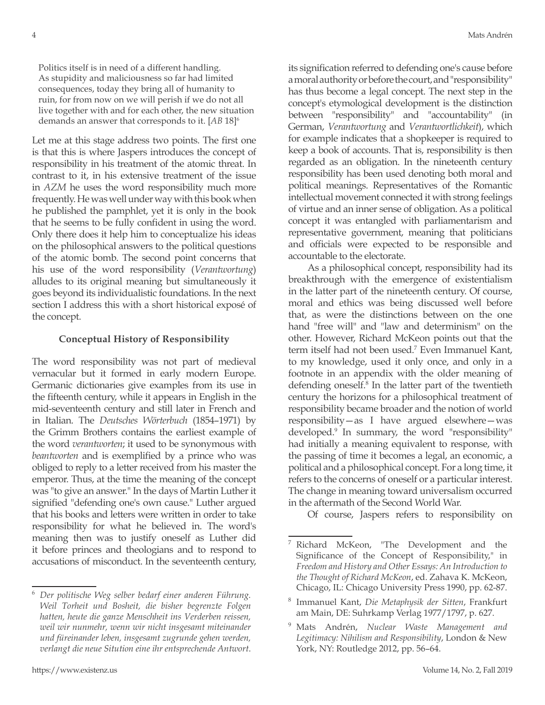Politics itself is in need of a different handling. As stupidity and maliciousness so far had limited consequences, today they bring all of humanity to ruin, for from now on we will perish if we do not all live together with and for each other, the new situation demands an answer that corresponds to it. [*AB* 18]6

Let me at this stage address two points. The first one is that this is where Jaspers introduces the concept of responsibility in his treatment of the atomic threat. In contrast to it, in his extensive treatment of the issue in *AZM* he uses the word responsibility much more frequently. He was well under way with this book when he published the pamphlet, yet it is only in the book that he seems to be fully confident in using the word. Only there does it help him to conceptualize his ideas on the philosophical answers to the political questions of the atomic bomb. The second point concerns that his use of the word responsibility (*Verantwortung*) alludes to its original meaning but simultaneously it goes beyond its individualistic foundations. In the next section I address this with a short historical exposé of the concept.

## **Conceptual History of Responsibility**

The word responsibility was not part of medieval vernacular but it formed in early modern Europe. Germanic dictionaries give examples from its use in the fifteenth century, while it appears in English in the mid-seventeenth century and still later in French and in Italian. The *Deutsches Wörterbuch* (1854–1971) by the Grimm Brothers contains the earliest example of the word *verantworten*; it used to be synonymous with *beantworten* and is exemplified by a prince who was obliged to reply to a letter received from his master the emperor. Thus, at the time the meaning of the concept was "to give an answer." In the days of Martin Luther it signified "defending one's own cause." Luther argued that his books and letters were written in order to take responsibility for what he believed in. The word's meaning then was to justify oneself as Luther did it before princes and theologians and to respond to accusations of misconduct. In the seventeenth century,

https://www.existenz.us Volume 14, No. 2, Fall 2019

its signification referred to defending one's cause before a moral authority or before the court, and "responsibility" has thus become a legal concept. The next step in the concept's etymological development is the distinction between "responsibility" and "accountability" (in German, *Verantwortung* and *Verantwortlichkeit*), which for example indicates that a shopkeeper is required to keep a book of accounts. That is, responsibility is then regarded as an obligation. In the nineteenth century responsibility has been used denoting both moral and political meanings. Representatives of the Romantic intellectual movement connected it with strong feelings of virtue and an inner sense of obligation. As a political concept it was entangled with parliamentarism and representative government, meaning that politicians and officials were expected to be responsible and accountable to the electorate.

As a philosophical concept, responsibility had its breakthrough with the emergence of existentialism in the latter part of the nineteenth century. Of course, moral and ethics was being discussed well before that, as were the distinctions between on the one hand "free will" and "law and determinism" on the other. However, Richard McKeon points out that the term itself had not been used.<sup>7</sup> Even Immanuel Kant, to my knowledge, used it only once, and only in a footnote in an appendix with the older meaning of defending oneself.<sup>8</sup> In the latter part of the twentieth century the horizons for a philosophical treatment of responsibility became broader and the notion of world responsibility—as I have argued elsewhere—was developed.9 In summary, the word "responsibility" had initially a meaning equivalent to response, with the passing of time it becomes a legal, an economic, a political and a philosophical concept. For a long time, it refers to the concerns of oneself or a particular interest. The change in meaning toward universalism occurred in the aftermath of the Second World War.

Of course, Jaspers refers to responsibility on

<sup>6</sup> *Der politische Weg selber bedarf einer anderen Führung. Weil Torheit und Bosheit, die bisher begrenzte Folgen hatten, heute die ganze Menschheit ins Verderben reissen, weil wir nunmehr, wenn wir nicht insgesamt miteinander und füreinander leben, insgesamt zugrunde gehen werden, verlangt die neue Sitution eine ihr entsprechende Antwort*.

Richard McKeon, "The Development and the Significance of the Concept of Responsibility," in *Freedom and History and Other Essays: An Introduction to the Thought of Richard McKeon*, ed. Zahava K. McKeon, Chicago, IL: Chicago University Press 1990, pp. 62-87.

<sup>8</sup> Immanuel Kant, *Die Metaphysik der Sitten*, Frankfurt am Main, DE: Suhrkamp Verlag 1977/1797, p. 627.

<sup>9</sup> Mats Andrén, *Nuclear Waste Management and Legitimacy: Nihilism and Responsibility*, London & New York, NY: Routledge 2012, pp. 56–64.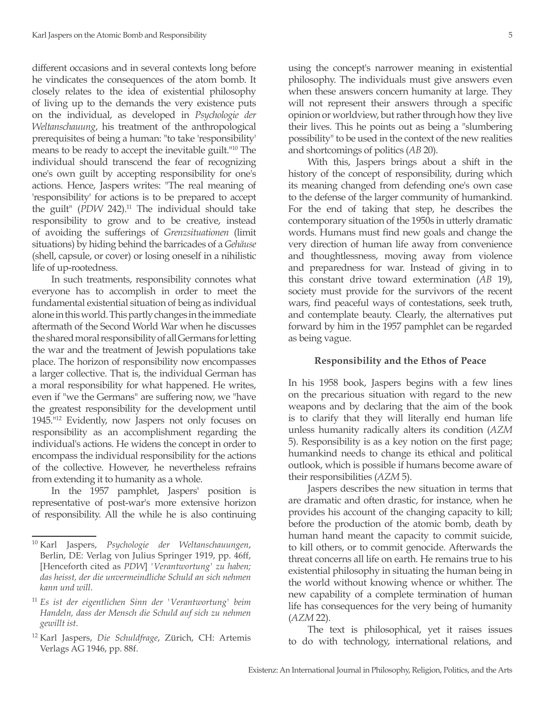different occasions and in several contexts long before he vindicates the consequences of the atom bomb. It closely relates to the idea of existential philosophy of living up to the demands the very existence puts on the individual, as developed in *Psychologie der Weltanschauung*, his treatment of the anthropological prerequisites of being a human: "to take 'responsibility' means to be ready to accept the inevitable guilt."10 The individual should transcend the fear of recognizing one's own guilt by accepting responsibility for one's actions. Hence, Jaspers writes: "The real meaning of 'responsibility' for actions is to be prepared to accept the guilt" (*PDW* 242).<sup>11</sup> The individual should take responsibility to grow and to be creative, instead of avoiding the sufferings of *Grenzsituationen* (limit situations) by hiding behind the barricades of a *Gehäuse*  (shell, capsule, or cover) or losing oneself in a nihilistic life of up-rootedness.

In such treatments, responsibility connotes what everyone has to accomplish in order to meet the fundamental existential situation of being as individual alone in this world. This partly changes in the immediate aftermath of the Second World War when he discusses the shared moral responsibility of all Germans for letting the war and the treatment of Jewish populations take place. The horizon of responsibility now encompasses a larger collective. That is, the individual German has a moral responsibility for what happened. He writes, even if "we the Germans" are suffering now, we "have the greatest responsibility for the development until 1945."12 Evidently, now Jaspers not only focuses on responsibility as an accomplishment regarding the individual's actions. He widens the concept in order to encompass the individual responsibility for the actions of the collective. However, he nevertheless refrains from extending it to humanity as a whole.

In the 1957 pamphlet, Jaspers' position is representative of post-war's more extensive horizon of responsibility. All the while he is also continuing using the concept's narrower meaning in existential philosophy. The individuals must give answers even when these answers concern humanity at large. They will not represent their answers through a specific opinion or worldview, but rather through how they live their lives. This he points out as being a "slumbering possibility" to be used in the context of the new realities and shortcomings of politics (*AB* 20).

With this, Jaspers brings about a shift in the history of the concept of responsibility, during which its meaning changed from defending one's own case to the defense of the larger community of humankind. For the end of taking that step, he describes the contemporary situation of the 1950s in utterly dramatic words. Humans must find new goals and change the very direction of human life away from convenience and thoughtlessness, moving away from violence and preparedness for war. Instead of giving in to this constant drive toward extermination (*AB* 19), society must provide for the survivors of the recent wars, find peaceful ways of contestations, seek truth, and contemplate beauty. Clearly, the alternatives put forward by him in the 1957 pamphlet can be regarded as being vague.

### **Responsibility and the Ethos of Peace**

In his 1958 book, Jaspers begins with a few lines on the precarious situation with regard to the new weapons and by declaring that the aim of the book is to clarify that they will literally end human life unless humanity radically alters its condition (*AZM* 5). Responsibility is as a key notion on the first page; humankind needs to change its ethical and political outlook, which is possible if humans become aware of their responsibilities (*AZM* 5).

Jaspers describes the new situation in terms that are dramatic and often drastic, for instance, when he provides his account of the changing capacity to kill; before the production of the atomic bomb, death by human hand meant the capacity to commit suicide, to kill others, or to commit genocide. Afterwards the threat concerns all life on earth. He remains true to his existential philosophy in situating the human being in the world without knowing whence or whither. The new capability of a complete termination of human life has consequences for the very being of humanity (*AZM* 22).

The text is philosophical, yet it raises issues to do with technology, international relations, and

<sup>10</sup> Karl Jaspers, *Psychologie der Weltanschauungen*, Berlin, DE: Verlag von Julius Springer 1919, pp. 46ff, [Henceforth cited as *PDW*] *'Verantwortung' zu haben; das heisst, der die unvermeindliche Schuld an sich nehmen kann und will*.

<sup>11</sup> *Es ist der eigentlichen Sinn der 'Verantwortung' beim Handeln, dass der Mensch die Schuld auf sich zu nehmen gewillt ist*.

<sup>12</sup> Karl Jaspers, *Die Schuldfrage*, Zürich, CH: Artemis Verlags AG 1946, pp. 88f.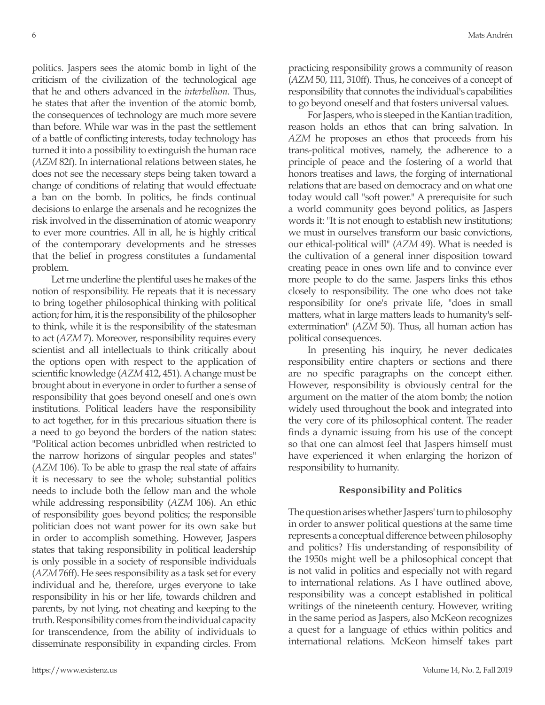politics. Jaspers sees the atomic bomb in light of the criticism of the civilization of the technological age that he and others advanced in the *interbellum*. Thus, he states that after the invention of the atomic bomb, the consequences of technology are much more severe than before. While war was in the past the settlement of a battle of conflicting interests, today technology has turned it into a possibility to extinguish the human race (*AZM* 82f). In international relations between states, he does not see the necessary steps being taken toward a change of conditions of relating that would effectuate a ban on the bomb. In politics, he finds continual decisions to enlarge the arsenals and he recognizes the risk involved in the dissemination of atomic weaponry to ever more countries. All in all, he is highly critical of the contemporary developments and he stresses that the belief in progress constitutes a fundamental problem.

Let me underline the plentiful uses he makes of the notion of responsibility. He repeats that it is necessary to bring together philosophical thinking with political action; for him, it is the responsibility of the philosopher to think, while it is the responsibility of the statesman to act (*AZM* 7). Moreover, responsibility requires every scientist and all intellectuals to think critically about the options open with respect to the application of scientific knowledge (*AZM* 412, 451). A change must be brought about in everyone in order to further a sense of responsibility that goes beyond oneself and one's own institutions. Political leaders have the responsibility to act together, for in this precarious situation there is a need to go beyond the borders of the nation states: "Political action becomes unbridled when restricted to the narrow horizons of singular peoples and states" (*AZM* 106). To be able to grasp the real state of affairs it is necessary to see the whole; substantial politics needs to include both the fellow man and the whole while addressing responsibility (*AZM* 106). An ethic of responsibility goes beyond politics; the responsible politician does not want power for its own sake but in order to accomplish something. However, Jaspers states that taking responsibility in political leadership is only possible in a society of responsible individuals (*AZM* 76ff). He sees responsibility as a task set for every individual and he, therefore, urges everyone to take responsibility in his or her life, towards children and parents, by not lying, not cheating and keeping to the truth. Responsibility comes from the individual capacity for transcendence, from the ability of individuals to disseminate responsibility in expanding circles. From practicing responsibility grows a community of reason (*AZM* 50, 111, 310ff). Thus, he conceives of a concept of responsibility that connotes the individual's capabilities to go beyond oneself and that fosters universal values.

For Jaspers, who is steeped in the Kantian tradition, reason holds an ethos that can bring salvation. In *AZM* he proposes an ethos that proceeds from his trans-political motives, namely, the adherence to a principle of peace and the fostering of a world that honors treatises and laws, the forging of international relations that are based on democracy and on what one today would call "soft power." A prerequisite for such a world community goes beyond politics, as Jaspers words it: "It is not enough to establish new institutions; we must in ourselves transform our basic convictions, our ethical-political will" (*AZM* 49). What is needed is the cultivation of a general inner disposition toward creating peace in ones own life and to convince ever more people to do the same. Jaspers links this ethos closely to responsibility. The one who does not take responsibility for one's private life, "does in small matters, what in large matters leads to humanity's selfextermination" (*AZM* 50). Thus, all human action has political consequences.

In presenting his inquiry, he never dedicates responsibility entire chapters or sections and there are no specific paragraphs on the concept either. However, responsibility is obviously central for the argument on the matter of the atom bomb; the notion widely used throughout the book and integrated into the very core of its philosophical content. The reader finds a dynamic issuing from his use of the concept so that one can almost feel that Jaspers himself must have experienced it when enlarging the horizon of responsibility to humanity.

#### **Responsibility and Politics**

The question arises whether Jaspers' turn to philosophy in order to answer political questions at the same time represents a conceptual difference between philosophy and politics? His understanding of responsibility of the 1950s might well be a philosophical concept that is not valid in politics and especially not with regard to international relations. As I have outlined above, responsibility was a concept established in political writings of the nineteenth century. However, writing in the same period as Jaspers, also McKeon recognizes a quest for a language of ethics within politics and international relations. McKeon himself takes part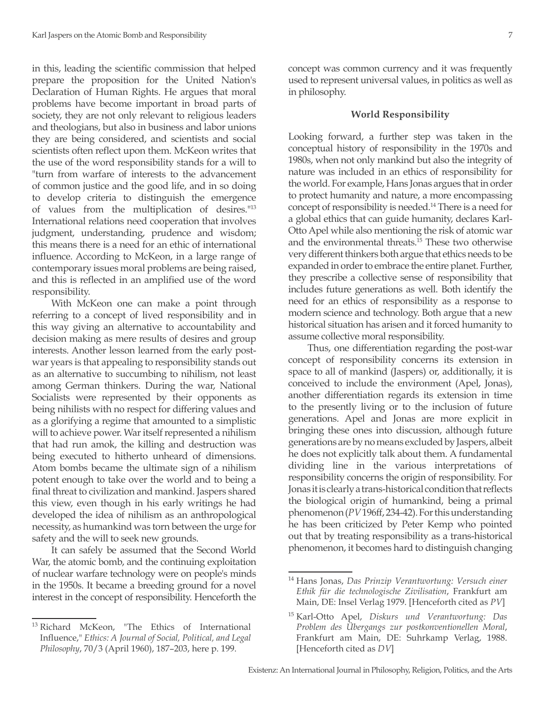in this, leading the scientific commission that helped prepare the proposition for the United Nation's Declaration of Human Rights. He argues that moral problems have become important in broad parts of society, they are not only relevant to religious leaders and theologians, but also in business and labor unions they are being considered, and scientists and social scientists often reflect upon them. McKeon writes that the use of the word responsibility stands for a will to "turn from warfare of interests to the advancement of common justice and the good life, and in so doing to develop criteria to distinguish the emergence of values from the multiplication of desires."13 International relations need cooperation that involves judgment, understanding, prudence and wisdom; this means there is a need for an ethic of international influence. According to McKeon, in a large range of contemporary issues moral problems are being raised, and this is reflected in an amplified use of the word responsibility.

With McKeon one can make a point through referring to a concept of lived responsibility and in this way giving an alternative to accountability and decision making as mere results of desires and group interests. Another lesson learned from the early postwar years is that appealing to responsibility stands out as an alternative to succumbing to nihilism, not least among German thinkers. During the war, National Socialists were represented by their opponents as being nihilists with no respect for differing values and as a glorifying a regime that amounted to a simplistic will to achieve power. War itself represented a nihilism that had run amok, the killing and destruction was being executed to hitherto unheard of dimensions. Atom bombs became the ultimate sign of a nihilism potent enough to take over the world and to being a final threat to civilization and mankind. Jaspers shared this view, even though in his early writings he had developed the idea of nihilism as an anthropological necessity, as humankind was torn between the urge for safety and the will to seek new grounds.

It can safely be assumed that the Second World War, the atomic bomb, and the continuing exploitation of nuclear warfare technology were on people's minds in the 1950s. It became a breeding ground for a novel interest in the concept of responsibility. Henceforth the concept was common currency and it was frequently used to represent universal values, in politics as well as in philosophy.

#### **World Responsibility**

Looking forward, a further step was taken in the conceptual history of responsibility in the 1970s and 1980s, when not only mankind but also the integrity of nature was included in an ethics of responsibility for the world. For example, Hans Jonas argues that in order to protect humanity and nature, a more encompassing concept of responsibility is needed.14 There is a need for a global ethics that can guide humanity, declares Karl-Otto Apel while also mentioning the risk of atomic war and the environmental threats.15 These two otherwise very different thinkers both argue that ethics needs to be expanded in order to embrace the entire planet. Further, they prescribe a collective sense of responsibility that includes future generations as well. Both identify the need for an ethics of responsibility as a response to modern science and technology. Both argue that a new historical situation has arisen and it forced humanity to assume collective moral responsibility.

Thus, one differentiation regarding the post-war concept of responsibility concerns its extension in space to all of mankind (Jaspers) or, additionally, it is conceived to include the environment (Apel, Jonas), another differentiation regards its extension in time to the presently living or to the inclusion of future generations. Apel and Jonas are more explicit in bringing these ones into discussion, although future generations are by no means excluded by Jaspers, albeit he does not explicitly talk about them. A fundamental dividing line in the various interpretations of responsibility concerns the origin of responsibility. For Jonas it is clearly a trans-historical condition that reflects the biological origin of humankind, being a primal phenomenon (*PV* 196ff, 234-42). For this understanding he has been criticized by Peter Kemp who pointed out that by treating responsibility as a trans-historical phenomenon, it becomes hard to distinguish changing

<sup>13</sup> Richard McKeon, "The Ethics of International Influence," *Ethics: A Journal of Social, Political, and Legal Philosophy*, 70/3 (April 1960), 187–203, here p. 199.

<sup>14</sup> Hans Jonas, *Das Prinzip Verantwortung: Versuch einer Ethik für die technologische Zivilisation*, Frankfurt am Main, DE: Insel Verlag 1979. [Henceforth cited as *PV*]

<sup>15</sup> Karl-Otto Apel, *Diskurs und Verantwortung: Das Problem des Übergangs zur postkonventionellen Moral*, Frankfurt am Main, DE: Suhrkamp Verlag, 1988. [Henceforth cited as *DV*]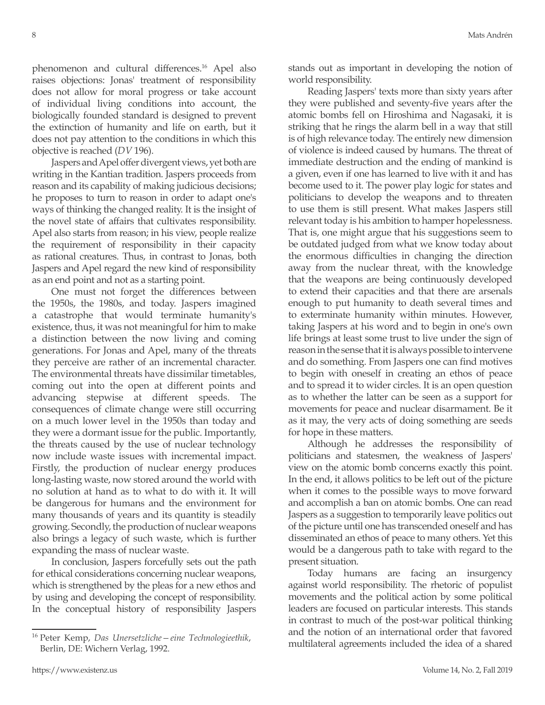phenomenon and cultural differences.<sup>16</sup> Apel also raises objections: Jonas' treatment of responsibility does not allow for moral progress or take account of individual living conditions into account, the biologically founded standard is designed to prevent the extinction of humanity and life on earth, but it does not pay attention to the conditions in which this objective is reached (*DV* 196).

Jaspers and Apel offer divergent views, yet both are writing in the Kantian tradition. Jaspers proceeds from reason and its capability of making judicious decisions; he proposes to turn to reason in order to adapt one's ways of thinking the changed reality. It is the insight of the novel state of affairs that cultivates responsibility. Apel also starts from reason; in his view, people realize the requirement of responsibility in their capacity as rational creatures. Thus, in contrast to Jonas, both Jaspers and Apel regard the new kind of responsibility as an end point and not as a starting point.

One must not forget the differences between the 1950s, the 1980s, and today. Jaspers imagined a catastrophe that would terminate humanity's existence, thus, it was not meaningful for him to make a distinction between the now living and coming generations. For Jonas and Apel, many of the threats they perceive are rather of an incremental character. The environmental threats have dissimilar timetables, coming out into the open at different points and advancing stepwise at different speeds. The consequences of climate change were still occurring on a much lower level in the 1950s than today and they were a dormant issue for the public. Importantly, the threats caused by the use of nuclear technology now include waste issues with incremental impact. Firstly, the production of nuclear energy produces long-lasting waste, now stored around the world with no solution at hand as to what to do with it. It will be dangerous for humans and the environment for many thousands of years and its quantity is steadily growing. Secondly, the production of nuclear weapons also brings a legacy of such waste, which is further expanding the mass of nuclear waste.

In conclusion, Jaspers forcefully sets out the path for ethical considerations concerning nuclear weapons, which is strengthened by the pleas for a new ethos and by using and developing the concept of responsibility. In the conceptual history of responsibility Jaspers stands out as important in developing the notion of world responsibility.

Reading Jaspers' texts more than sixty years after they were published and seventy-five years after the atomic bombs fell on Hiroshima and Nagasaki, it is striking that he rings the alarm bell in a way that still is of high relevance today. The entirely new dimension of violence is indeed caused by humans. The threat of immediate destruction and the ending of mankind is a given, even if one has learned to live with it and has become used to it. The power play logic for states and politicians to develop the weapons and to threaten to use them is still present. What makes Jaspers still relevant today is his ambition to hamper hopelessness. That is, one might argue that his suggestions seem to be outdated judged from what we know today about the enormous difficulties in changing the direction away from the nuclear threat, with the knowledge that the weapons are being continuously developed to extend their capacities and that there are arsenals enough to put humanity to death several times and to exterminate humanity within minutes. However, taking Jaspers at his word and to begin in one's own life brings at least some trust to live under the sign of reason in the sense that it is always possible to intervene and do something. From Jaspers one can find motives to begin with oneself in creating an ethos of peace and to spread it to wider circles. It is an open question as to whether the latter can be seen as a support for movements for peace and nuclear disarmament. Be it as it may, the very acts of doing something are seeds for hope in these matters.

Although he addresses the responsibility of politicians and statesmen, the weakness of Jaspers' view on the atomic bomb concerns exactly this point. In the end, it allows politics to be left out of the picture when it comes to the possible ways to move forward and accomplish a ban on atomic bombs. One can read Jaspers as a suggestion to temporarily leave politics out of the picture until one has transcended oneself and has disseminated an ethos of peace to many others. Yet this would be a dangerous path to take with regard to the present situation.

Today humans are facing an insurgency against world responsibility. The rhetoric of populist movements and the political action by some political leaders are focused on particular interests. This stands in contrast to much of the post-war political thinking and the notion of an international order that favored multilateral agreements included the idea of a shared

<sup>16</sup> Peter Kemp, *Das Unersetzliche—eine Technologieethik*, Berlin, DE: Wichern Verlag, 1992.